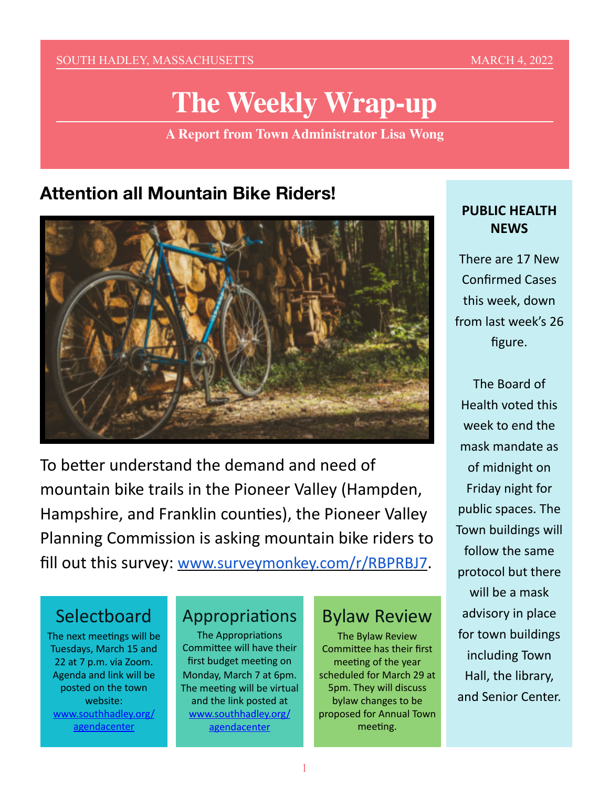SOUTH HADLEY, MASSACHUSETTS AND A RESERVE TO A MARCH 4, 2022

# **The Weekly Wrap-up**

**A Report from Town Administrator Lisa Wong**

# **Attention all Mountain Bike Riders!**



To better understand the demand and need of mountain bike trails in the Pioneer Valley (Hampden, Hampshire, and Franklin counties), the Pioneer Valley Planning Commission is asking mountain bike riders to fill out this survey: [www.surveymonkey.com/r/RBPRBJ7](https://www.surveymonkey.com/r/RBPRBJ7).

## **Selectboard**

The next meetings will be Tuesdays, March 15 and 22 at 7 p.m. via Zoom. Agenda and link will be posted on the town website: [www.southhadley.org/](http://www.southhadley.org/agendacenter) [agendacenter](http://www.southhadley.org/agendacenter)

### Appropriations

The Appropriations Committee will have their first budget meeting on Monday, March 7 at 6pm. The meeting will be virtual and the link posted at [www.southhadley.org/](http://www.southhadley.org/agendacenter) [agendacenter](http://www.southhadley.org/agendacenter)

#### Bylaw Review

The Bylaw Review Committee has their first meeting of the year scheduled for March 29 at 5pm. They will discuss bylaw changes to be proposed for Annual Town meeting.

#### **PUBLIC HEALTH NEWS**

There are 17 New Confirmed Cases this week, down from last week's 26 figure.

The Board of Health voted this week to end the mask mandate as of midnight on Friday night for public spaces. The Town buildings will follow the same protocol but there will be a mask advisory in place for town buildings including Town Hall, the library, and Senior Center.